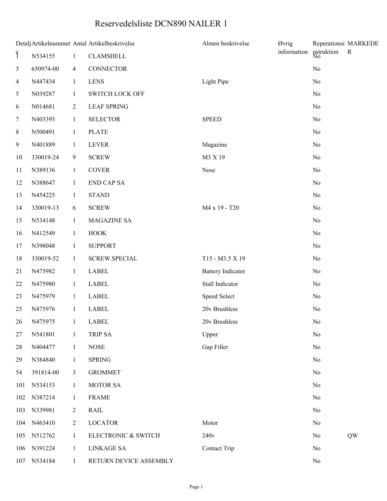## Reservedelsliste DCN890 NAILER 1

| Detalj Artikelnummer Antal Artikelbeskrivelse |             |                |                        | Almen beskrivelse        | Øvrig            |                | Reperationsi MARKEDE |
|-----------------------------------------------|-------------|----------------|------------------------|--------------------------|------------------|----------------|----------------------|
| ę                                             | N534155     | $\mathbf{1}$   | <b>CLAMSHELL</b>       | information              | nstruktion<br>No | $\mathbf{R}$   |                      |
| 3                                             | 650974-00   | $\overline{4}$ | <b>CONNECTOR</b>       |                          |                  | $\rm No$       |                      |
| $\overline{4}$                                | N447434     | $\mathbf{1}$   | <b>LENS</b>            | Light Pipe               |                  | No             |                      |
| 5                                             | N039287     | $\mathbf{1}$   | <b>SWITCH LOCK OFF</b> |                          |                  | No             |                      |
| 6                                             | N014681     | $\overline{2}$ | <b>LEAF SPRING</b>     |                          |                  | No             |                      |
| 7                                             | N403393     | $\mathbf{1}$   | <b>SELECTOR</b>        | <b>SPEED</b>             |                  | No             |                      |
| 8                                             | N500491     | $\mathbf{1}$   | <b>PLATE</b>           |                          |                  | $\rm No$       |                      |
| 9                                             | N401889     | $\mathbf{1}$   | <b>LEVER</b>           | Magazine                 |                  | No             |                      |
| $10\,$                                        | 330019-24   | 9              | <b>SCREW</b>           | M3 X 19                  |                  | No             |                      |
| 11                                            | N389136     | $\mathbf{1}$   | <b>COVER</b>           | Nose                     |                  | N <sub>0</sub> |                      |
| 12                                            | N388647     | $\mathbf{1}$   | <b>END CAP SA</b>      |                          |                  | No             |                      |
| 13                                            | N454225     | $\mathbf{1}$   | <b>STAND</b>           |                          |                  | No             |                      |
| 14                                            | 330019-13   | 6              | <b>SCREW</b>           | M4 x 19 - T20            |                  | N <sub>0</sub> |                      |
| 15                                            | N534148     | $\mathbf{1}$   | MAGAZINE SA            |                          |                  | No             |                      |
| 16                                            | N412549     | $\mathbf{1}$   | <b>HOOK</b>            |                          |                  | No             |                      |
| 17                                            | N398048     | $\mathbf{1}$   | <b>SUPPORT</b>         |                          |                  | N <sub>0</sub> |                      |
| 18                                            | 330019-52   | $\mathbf{1}$   | <b>SCREW.SPECIAL</b>   | T15 - M3.5 X 19          |                  | No             |                      |
| 21                                            | N475982     | $\mathbf{1}$   | LABEL                  | <b>Battery Indicator</b> |                  | No             |                      |
| 22                                            | N475980     | $\mathbf{1}$   | <b>LABEL</b>           | Stall Indicator          |                  | N <sub>0</sub> |                      |
| 23                                            | N475979     | $\mathbf{1}$   | <b>LABEL</b>           | Speed Select             |                  | No             |                      |
| 25                                            | N475976     | $\mathbf{1}$   | <b>LABEL</b>           | 20v Brushless            |                  | No             |                      |
|                                               | 26 N475975  | $\frac{1}{2}$  | LABEL                  | 20v Brushless            |                  | No             |                      |
| 27                                            | N541801     | $\mathbf{1}$   | TRIP SA                | Upper                    |                  | N <sub>o</sub> |                      |
| 28                                            | N404477     | $\mathbf{1}$   | <b>NOSE</b>            | Gap Filler               |                  | No             |                      |
| 29                                            | N384840     | $\mathbf{1}$   | <b>SPRING</b>          |                          |                  | No             |                      |
| 54                                            | 391814-00   | $\mathfrak{Z}$ | <b>GROMMET</b>         |                          |                  | N <sub>o</sub> |                      |
| 101                                           | N534153     | $\mathbf{1}$   | <b>MOTOR SA</b>        |                          |                  | No             |                      |
| 102                                           | N387214     | $\mathbf{1}$   | <b>FRAME</b>           |                          |                  | No             |                      |
| 103                                           | N339981     | $\overline{c}$ | <b>RAIL</b>            |                          |                  | N <sub>0</sub> |                      |
| 104                                           | N463410     | $\overline{2}$ | <b>LOCATOR</b>         | Motor                    |                  | No             |                      |
| 105                                           | N512762     | $\mathbf{1}$   | ELECTRONIC & SWITCH    | 240v                     |                  | N <sub>0</sub> | QW                   |
| 106                                           | N391224     | $\mathbf{1}$   | <b>LINKAGE SA</b>      | Contact Trip             |                  | N <sub>0</sub> |                      |
|                                               | 107 N534184 | $\mathbf{1}$   | RETURN DEVICE ASSEMBLY |                          |                  | $\rm No$       |                      |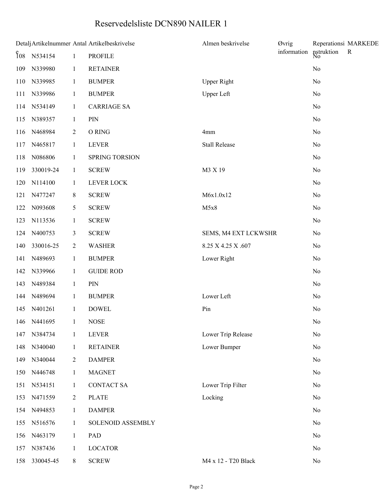## Reservedelsliste DCN890 NAILER 1

| Detalj Artikelnummer Antal Artikelbeskrivelse |                                                         |                |                    | Almen beskrivelse    | Øvrig       |                  | Reperationsi MARKEDE |
|-----------------------------------------------|---------------------------------------------------------|----------------|--------------------|----------------------|-------------|------------------|----------------------|
|                                               | $\begin{bmatrix} 6 & 8 \\ 10 & 8 \end{bmatrix}$ N534154 | $\mathbf{1}$   | <b>PROFILE</b>     |                      | information | nstruktion<br>No | $\mathbf R$          |
|                                               | 109 N339980                                             | $\mathbf{1}$   | <b>RETAINER</b>    |                      |             | $\rm No$         |                      |
|                                               | 110 N339985                                             | $\mathbf{1}$   | <b>BUMPER</b>      | <b>Upper Right</b>   |             | N <sub>0</sub>   |                      |
| 111                                           | N339986                                                 | $\mathbf{1}$   | <b>BUMPER</b>      | <b>Upper Left</b>    |             | N <sub>0</sub>   |                      |
|                                               | 114 N534149                                             | $\mathbf{1}$   | <b>CARRIAGE SA</b> |                      |             | No               |                      |
|                                               | 115 N389357                                             | $\mathbf{1}$   | PIN                |                      |             | N <sub>0</sub>   |                      |
|                                               | 116 N468984                                             | $\overline{2}$ | O RING             | 4mm                  |             | No               |                      |
| 117                                           | N465817                                                 | $\mathbf{1}$   | <b>LEVER</b>       | <b>Stall Release</b> |             | No               |                      |
|                                               | 118 N086806                                             | $\mathbf{1}$   | SPRING TORSION     |                      |             | No               |                      |
| 119                                           | 330019-24                                               | $\mathbf{1}$   | <b>SCREW</b>       | M3 X 19              |             | N <sub>0</sub>   |                      |
| 120                                           | N114100                                                 | $\mathbf{1}$   | LEVER LOCK         |                      |             | No               |                      |
| 121                                           | N477247                                                 | 8              | <b>SCREW</b>       | M6x1.0x12            |             | N <sub>0</sub>   |                      |
| 122                                           | N093608                                                 | 5              | <b>SCREW</b>       | M5x8                 |             | N <sub>0</sub>   |                      |
| 123                                           | N113536                                                 | $\mathbf{1}$   | <b>SCREW</b>       |                      |             | No               |                      |
|                                               | 124 N400753                                             | 3              | <b>SCREW</b>       | SEMS, M4 EXT LCKWSHR |             | N <sub>0</sub>   |                      |
| 140                                           | 330016-25                                               | $\overline{2}$ | <b>WASHER</b>      | 8.25 X 4.25 X .607   |             | N <sub>0</sub>   |                      |
| 141                                           | N489693                                                 | $\mathbf{1}$   | <b>BUMPER</b>      | Lower Right          |             | No               |                      |
| 142                                           | N339966                                                 | $\mathbf{1}$   | <b>GUIDE ROD</b>   |                      |             | N <sub>0</sub>   |                      |
| 143                                           | N489384                                                 | $\mathbf{1}$   | PIN                |                      |             | N <sub>0</sub>   |                      |
|                                               | 144 N489694                                             | $\mathbf{1}$   | <b>BUMPER</b>      | Lower Left           |             | No               |                      |
|                                               | 145 N401261                                             | $\mathbf{1}$   | <b>DOWEL</b>       | Pin                  |             | $\rm No$         |                      |
|                                               | 146 N441695                                             | $\frac{1}{2}$  | <b>NOSE</b>        |                      |             | N <sub>0</sub>   |                      |
| 147                                           | N384734                                                 | $\mathbf{1}$   | <b>LEVER</b>       | Lower Trip Release   |             | No               |                      |
|                                               | 148 N340040                                             | $\mathbf{1}$   | <b>RETAINER</b>    | Lower Bumper         |             | $\rm No$         |                      |
| 149                                           | N340044                                                 | $\overline{2}$ | <b>DAMPER</b>      |                      |             | No               |                      |
| 150                                           | N446748                                                 | $\mathbf{1}$   | <b>MAGNET</b>      |                      |             | No               |                      |
|                                               | 151 N534151                                             | $\mathbf{1}$   | <b>CONTACT SA</b>  | Lower Trip Filter    |             | N <sub>0</sub>   |                      |
| 153                                           | N471559                                                 | $\overline{2}$ | <b>PLATE</b>       | Locking              |             | No               |                      |
|                                               | 154 N494853                                             | $\mathbf{1}$   | <b>DAMPER</b>      |                      |             | No               |                      |
|                                               | 155 N516576                                             | $\mathbf{1}$   | SOLENOID ASSEMBLY  |                      |             | No               |                      |
| 156                                           | N463179                                                 | $\mathbf{1}$   | PAD                |                      |             | No               |                      |
| 157                                           | N387436                                                 | $\mathbf{1}$   | <b>LOCATOR</b>     |                      |             | No               |                      |
| 158                                           | 330045-45                                               | 8              | <b>SCREW</b>       | M4 x 12 - T20 Black  |             | $\rm No$         |                      |